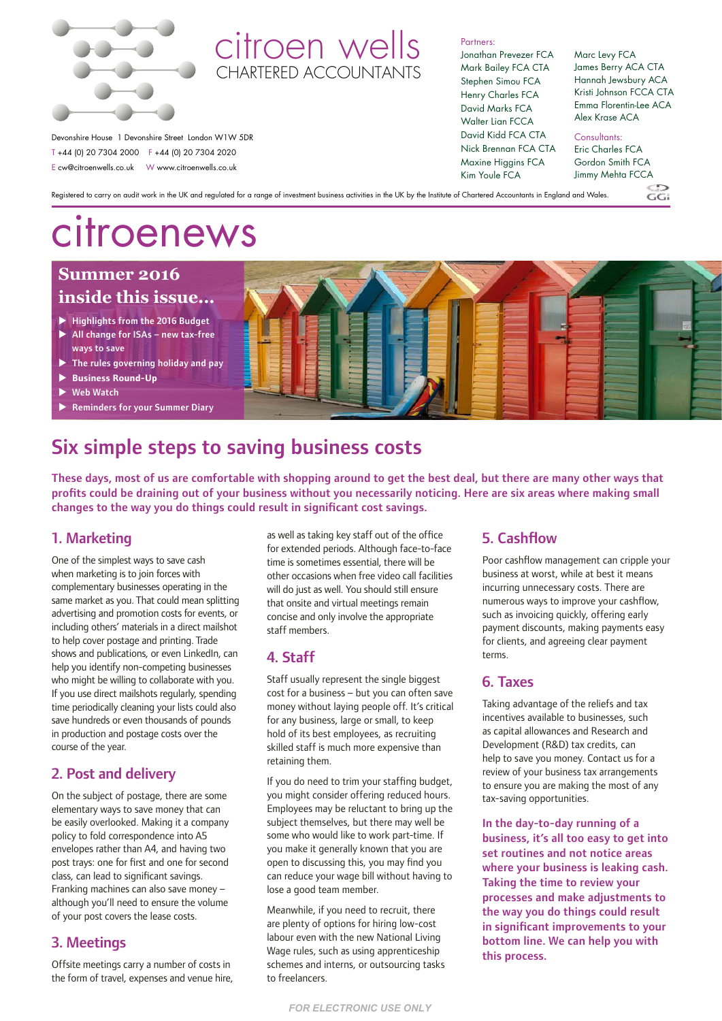

# citroen wells **CHARTERED ACCOUNTANT**

Partners:

Jonathan Prevezer FCA Mark Bailey FCA CTA Stephen Simou FCA Henry Charles FCA David Marks FCA Walter Lian FCCA David Kidd FCA CTA Nick Brennan FCA CTA Maxine Higgins FCA Kim Youle FCA

#### Marc Levy FCA James Berry ACA CTA Hannah Jewsbury ACA Kristi Johnson FCCA CTA Emma Florentin-Lee ACA Alex Krase ACA

Devonshire House 1 Devonshire Street London W1W 5DR T +44 (0) 20 7304 2000 F +44 (0) 20 7304 2020 E cw@citroenwells.co.uk W www.citroenwells.co.uk

Consultants:

Eric Charles FCA Gordon Smith FCA Jimmy Mehta FCCA

 $C$ . $C$ 

Registered to carry on audit work in the UK and regulated for a range of investment business activities in the UK by the Institute of Chartered Accountants in England and Wales.

# citroenews

# **Summer 2016 inside this issue...**

- $\blacktriangleright$  Highlights from the 2016 Budget
- $\blacktriangleright$  All change for ISAs new tax-free ways to save
- $\triangleright$  The rules governing holiday and pay
- **Business Round-Up**
- Web Watch
- **Reminders for your Summer Diary**

# Six simple steps to saving business costs

These days, most of us are comfortable with shopping around to get the best deal, but there are many other ways that profits could be draining out of your business without you necessarily noticing. Here are six areas where making small changes to the way you do things could result in significant cost savings.

# 1. Marketing

One of the simplest ways to save cash when marketing is to join forces with complementary businesses operating in the same market as you. That could mean splitting advertising and promotion costs for events, or including others' materials in a direct mailshot to help cover postage and printing. Trade shows and publications, or even LinkedIn, can help you identify non-competing businesses who might be willing to collaborate with you. If you use direct mailshots regularly, spending time periodically cleaning your lists could also save hundreds or even thousands of pounds in production and postage costs over the course of the year.

# 2. Post and delivery

On the subject of postage, there are some elementary ways to save money that can be easily overlooked. Making it a company policy to fold correspondence into A5 envelopes rather than A4, and having two post trays: one for first and one for second class, can lead to significant savings. Franking machines can also save money – although you'll need to ensure the volume of your post covers the lease costs.

# 3. Meetings

Offsite meetings carry a number of costs in the form of travel, expenses and venue hire,

as well as taking key staff out of the office for extended periods. Although face-to-face time is sometimes essential, there will be other occasions when free video call facilities will do just as well. You should still ensure that onsite and virtual meetings remain concise and only involve the appropriate staff members.

# 4. Staff

Staff usually represent the single biggest cost for a business – but you can often save money without laying people off. It's critical for any business, large or small, to keep hold of its best employees, as recruiting skilled staff is much more expensive than retaining them.

If you do need to trim your staffing budget, you might consider offering reduced hours. Employees may be reluctant to bring up the subject themselves, but there may well be some who would like to work part-time. If you make it generally known that you are open to discussing this, you may find you can reduce your wage bill without having to lose a good team member.

Meanwhile, if you need to recruit, there are plenty of options for hiring low-cost labour even with the new National Living Wage rules, such as using apprenticeship schemes and interns, or outsourcing tasks to freelancers.

# 5. Cashflow

Poor cashflow management can cripple your business at worst, while at best it means incurring unnecessary costs. There are numerous ways to improve your cashflow, such as invoicing quickly, offering early payment discounts, making payments easy for clients, and agreeing clear payment terms.

### 6. Taxes

Taking advantage of the reliefs and tax incentives available to businesses, such as capital allowances and Research and Development (R&D) tax credits, can help to save you money. Contact us for a review of your business tax arrangements to ensure you are making the most of any tax-saving opportunities.

In the day-to-day running of a business, it's all too easy to get into set routines and not notice areas where your business is leaking cash. Taking the time to review your processes and make adjustments to the way you do things could result in significant improvements to your bottom line. We can help you with this process.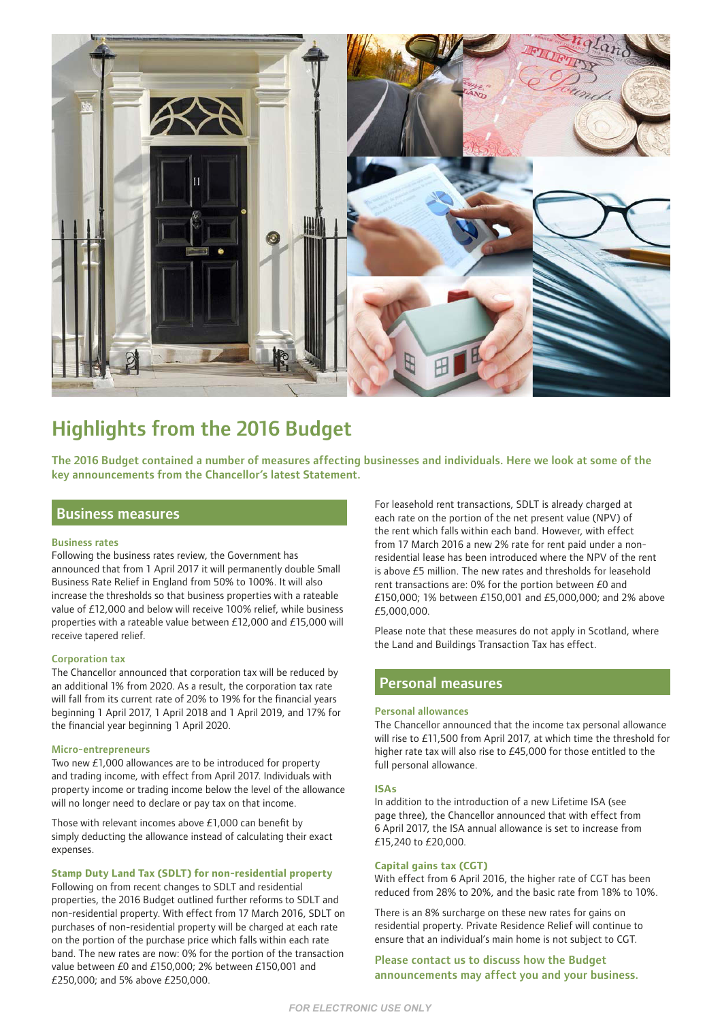

# Highlights from the 2016 Budget

The 2016 Budget contained a number of measures affecting businesses and individuals. Here we look at some of the key announcements from the Chancellor's latest Statement.

### Business measures

#### Business rates

Following the business rates review, the Government has announced that from 1 April 2017 it will permanently double Small Business Rate Relief in England from 50% to 100%. It will also increase the thresholds so that business properties with a rateable value of £12,000 and below will receive 100% relief, while business properties with a rateable value between £12,000 and £15,000 will receive tapered relief.

#### Corporation tax

The Chancellor announced that corporation tax will be reduced by an additional 1% from 2020. As a result, the corporation tax rate will fall from its current rate of 20% to 19% for the financial years beginning 1 April 2017, 1 April 2018 and 1 April 2019, and 17% for the financial year beginning 1 April 2020.

#### Micro-entrepreneurs

Two new £1,000 allowances are to be introduced for property and trading income, with effect from April 2017. Individuals with property income or trading income below the level of the allowance will no longer need to declare or pay tax on that income.

Those with relevant incomes above £1,000 can benefit by simply deducting the allowance instead of calculating their exact expenses.

**Stamp Duty Land Tax (SDLT) for non-residential property**

Following on from recent changes to SDLT and residential properties, the 2016 Budget outlined further reforms to SDLT and non-residential property. With effect from 17 March 2016, SDLT on purchases of non-residential property will be charged at each rate on the portion of the purchase price which falls within each rate band. The new rates are now: 0% for the portion of the transaction value between £0 and £150,000; 2% between £150,001 and £250,000; and 5% above £250,000.

For leasehold rent transactions, SDLT is already charged at each rate on the portion of the net present value (NPV) of the rent which falls within each band. However, with effect from 17 March 2016 a new 2% rate for rent paid under a nonresidential lease has been introduced where the NPV of the rent is above £5 million. The new rates and thresholds for leasehold rent transactions are: 0% for the portion between £0 and £150,000; 1% between £150,001 and £5,000,000; and 2% above £5,000,000.

Please note that these measures do not apply in Scotland, where the Land and Buildings Transaction Tax has effect.

### Personal measures

#### Personal allowances

The Chancellor announced that the income tax personal allowance will rise to £11,500 from April 2017, at which time the threshold for higher rate tax will also rise to £45,000 for those entitled to the full personal allowance.

#### **ISAs**

In addition to the introduction of a new Lifetime ISA (see page three), the Chancellor announced that with effect from 6 April 2017, the ISA annual allowance is set to increase from £15,240 to £20,000.

#### **Capital gains tax (CGT)**

With effect from 6 April 2016, the higher rate of CGT has been reduced from 28% to 20%, and the basic rate from 18% to 10%.

There is an 8% surcharge on these new rates for gains on residential property. Private Residence Relief will continue to ensure that an individual's main home is not subject to CGT.

Please contact us to discuss how the Budget announcements may affect you and your business.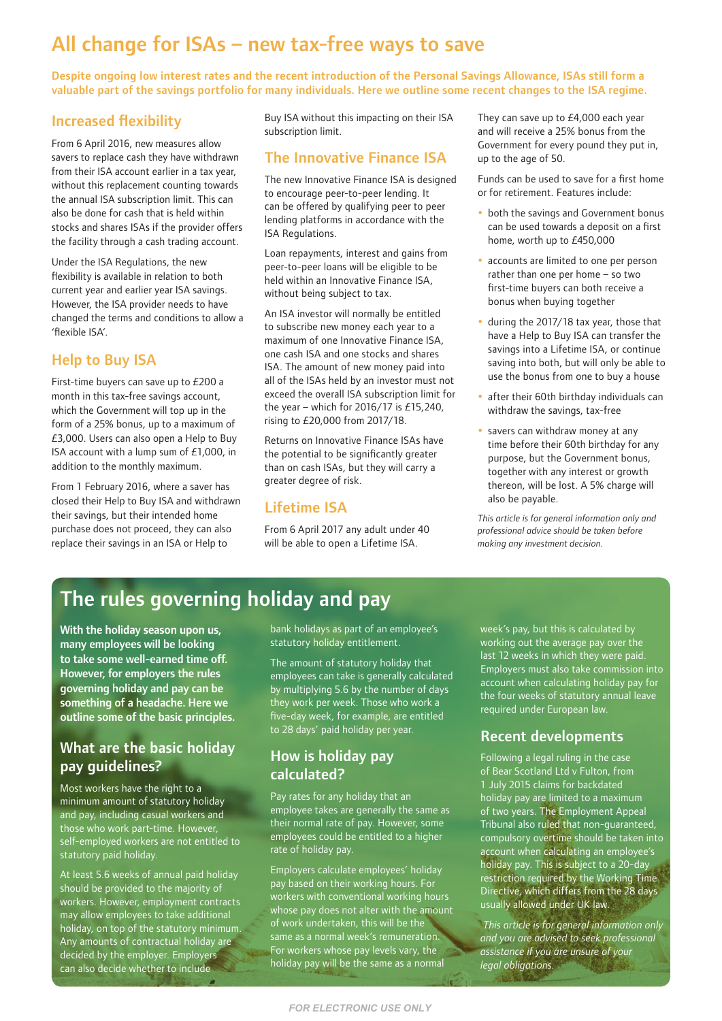# All change for ISAs – new tax-free ways to save

Despite ongoing low interest rates and the recent introduction of the Personal Savings Allowance, ISAs still form a valuable part of the savings portfolio for many individuals. Here we outline some recent changes to the ISA regime.

## Increased flexibility

From 6 April 2016, new measures allow savers to replace cash they have withdrawn from their ISA account earlier in a tax year, without this replacement counting towards the annual ISA subscription limit. This can also be done for cash that is held within stocks and shares ISAs if the provider offers the facility through a cash trading account.

Under the ISA Regulations, the new flexibility is available in relation to both current year and earlier year ISA savings. However, the ISA provider needs to have changed the terms and conditions to allow a 'flexible ISA'.

# Help to Buy ISA

First-time buyers can save up to £200 a month in this tax-free savings account, which the Government will top up in the form of a 25% bonus, up to a maximum of £3,000. Users can also open a Help to Buy ISA account with a lump sum of £1,000, in addition to the monthly maximum.

From 1 February 2016, where a saver has closed their Help to Buy ISA and withdrawn their savings, but their intended home purchase does not proceed, they can also replace their savings in an ISA or Help to

Buy ISA without this impacting on their ISA subscription limit.

### The Innovative Finance ISA

The new Innovative Finance ISA is designed to encourage peer-to-peer lending. It can be offered by qualifying peer to peer lending platforms in accordance with the ISA Regulations.

Loan repayments, interest and gains from peer-to-peer loans will be eligible to be held within an Innovative Finance ISA, without being subject to tax.

An ISA investor will normally be entitled to subscribe new money each year to a maximum of one Innovative Finance ISA, one cash ISA and one stocks and shares ISA. The amount of new money paid into all of the ISAs held by an investor must not exceed the overall ISA subscription limit for the year – which for  $2016/17$  is £15,240, rising to £20,000 from 2017/18.

Returns on Innovative Finance ISAs have the potential to be significantly greater than on cash ISAs, but they will carry a greater degree of risk.

### Lifetime ISA

From 6 April 2017 any adult under 40 will be able to open a Lifetime ISA.

They can save up to £4,000 each year and will receive a 25% bonus from the Government for every pound they put in, up to the age of 50.

Funds can be used to save for a first home or for retirement. Features include:

- both the savings and Government bonus can be used towards a deposit on a first home, worth up to £450,000
- accounts are limited to one per person rather than one per home – so two first-time buyers can both receive a bonus when buying together
- during the 2017/18 tax year, those that have a Help to Buy ISA can transfer the savings into a Lifetime ISA, or continue saving into both, but will only be able to use the bonus from one to buy a house
- after their 60th birthday individuals can withdraw the savings, tax-free
- savers can withdraw money at any time before their 60th birthday for any purpose, but the Government bonus, together with any interest or growth thereon, will be lost. A 5% charge will also be payable.

*This article is for general information only and professional advice should be taken before making any investment decision.*

# The rules governing holiday and pay

With the holiday season upon us, many employees will be looking to take some well-earned time off. However, for employers the rules governing holiday and pay can be something of a headache. Here we outline some of the basic principles.

# What are the basic holiday pay guidelines?

Most workers have the right to a minimum amount of statutory holiday and pay, including casual workers and those who work part-time. However, self-employed workers are not entitled to statutory paid holiday.

At least 5.6 weeks of annual paid holiday should be provided to the majority of workers. However, employment contracts may allow employees to take additional holiday, on top of the statutory minimum. Any amounts of contractual holiday are decided by the employer. Employers can also decide whether to include

bank holidays as part of an employee's statutory holiday entitlement.

The amount of statutory holiday that employees can take is generally calculated by multiplying 5.6 by the number of days they work per week. Those who work a five-day week, for example, are entitled to 28 days' paid holiday per year.

# How is holiday pay calculated?

Pay rates for any holiday that an employee takes are generally the same as their normal rate of pay. However, some employees could be entitled to a higher rate of holiday pay.

Employers calculate employees' holiday pay based on their working hours. For workers with conventional working hours whose pay does not alter with the amount of work undertaken, this will be the same as a normal week's remuneration. For workers whose pay levels vary, the holiday pay will be the same as a normal

week's pay, but this is calculated by working out the average pay over the last 12 weeks in which they were paid. Employers must also take commission into account when calculating holiday pay for the four weeks of statutory annual leave required under European law.

# Recent developments

Following a legal ruling in the case of Bear Scotland Ltd v Fulton, from 1 July 2015 claims for backdated holiday pay are limited to a maximum of two years. The Employment Appeal Tribunal also ruled that non-guaranteed, compulsory overtime should be taken into account when calculating an employee's holiday pay. This is subject to a 20-day restriction required by the Working Time Directive, which differs from the 28 days usually allowed under UK law.

 *This article is for general information only and you are advised to seek professional assistance if you are unsure of your legal obligations.*